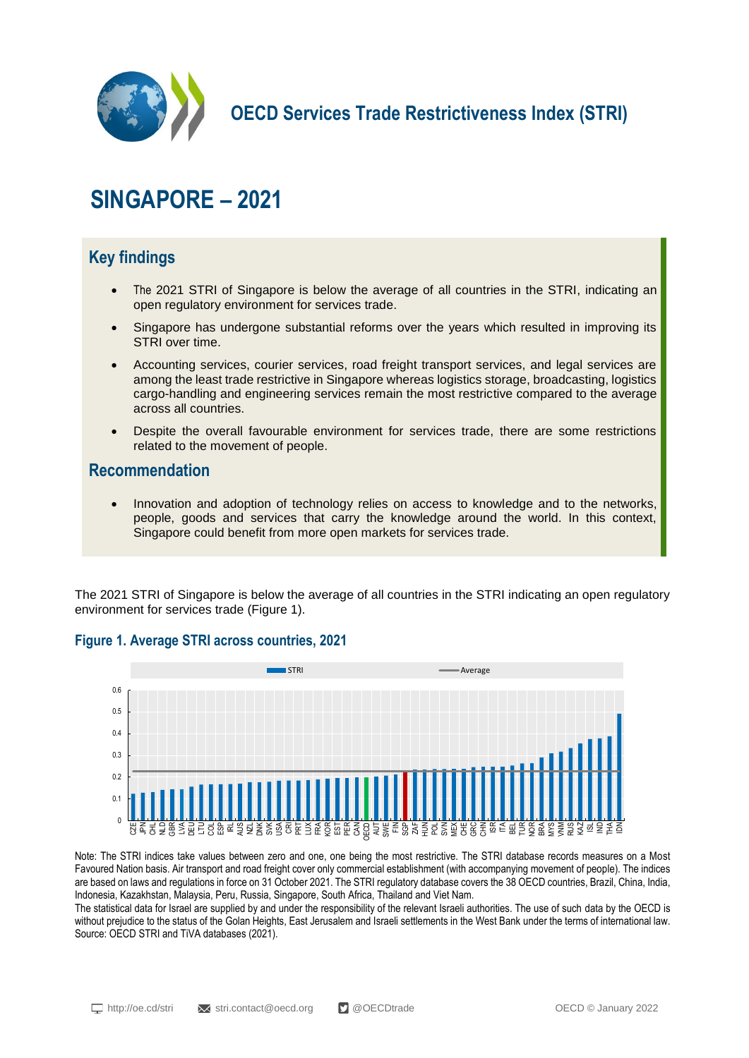

**OECD Services Trade Restrictiveness Index (STRI)**

# **SINGAPORE – 2021**

# **Key findings**

- The 2021 STRI of Singapore is below the average of all countries in the STRI, indicating an open regulatory environment for services trade.
- Singapore has undergone substantial reforms over the years which resulted in improving its STRI over time.
- Accounting services, courier services, road freight transport services, and legal services are among the least trade restrictive in Singapore whereas logistics storage, broadcasting, logistics cargo-handling and engineering services remain the most restrictive compared to the average across all countries.
- Despite the overall favourable environment for services trade, there are some restrictions related to the movement of people.

## **Recommendation**

 Innovation and adoption of technology relies on access to knowledge and to the networks, people, goods and services that carry the knowledge around the world. In this context, Singapore could benefit from more open markets for services trade.

The 2021 STRI of Singapore is below the average of all countries in the STRI indicating an open regulatory environment for services trade (Figure 1).



## **Figure 1. Average STRI across countries, 2021**

Note: The STRI indices take values between zero and one, one being the most restrictive. The STRI database records measures on a Most Favoured Nation basis. Air transport and road freight cover only commercial establishment (with accompanying movement of people). The indices are based on laws and regulations in force on 31 October 2021. The STRI regulatory database covers the 38 OECD countries, Brazil, China, India, Indonesia, Kazakhstan, Malaysia, Peru, Russia, Singapore, South Africa, Thailand and Viet Nam.

The statistical data for Israel are supplied by and under the responsibility of the relevant Israeli authorities. The use of such data by the OECD is without prejudice to the status of the Golan Heights, East Jerusalem and Israeli settlements in the West Bank under the terms of international law. Source: OECD STRI and TiVA databases (2021).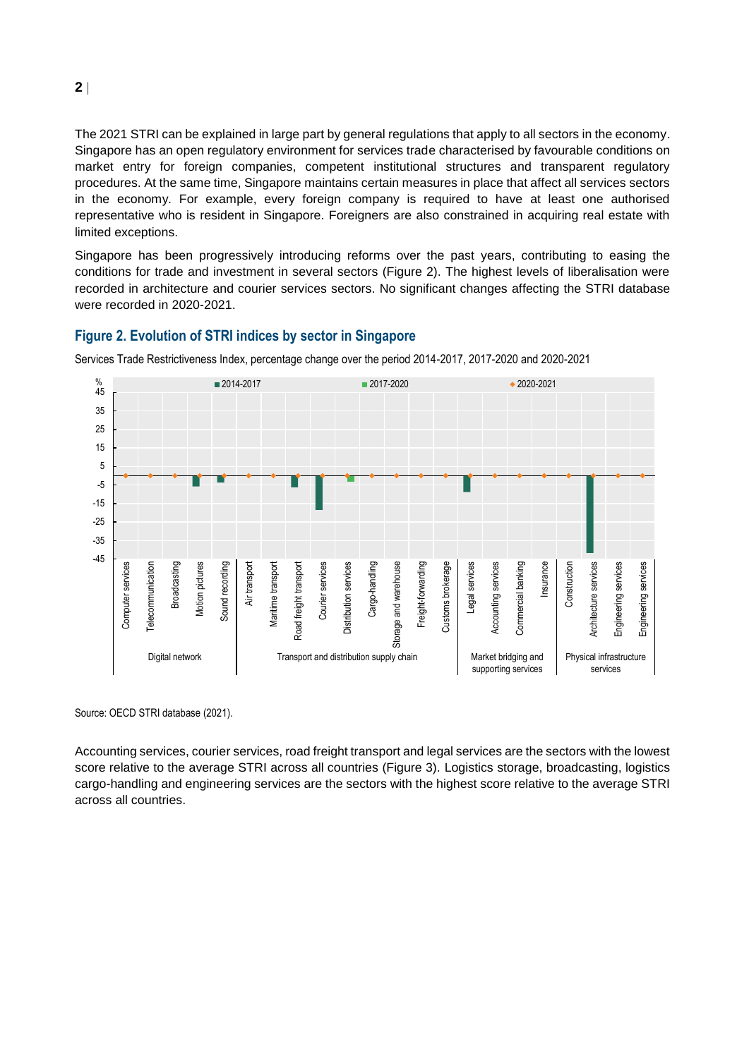The 2021 STRI can be explained in large part by general regulations that apply to all sectors in the economy. Singapore has an open regulatory environment for services trade characterised by favourable conditions on market entry for foreign companies, competent institutional structures and transparent regulatory procedures. At the same time, Singapore maintains certain measures in place that affect all services sectors in the economy. For example, every foreign company is required to have at least one authorised representative who is resident in Singapore. Foreigners are also constrained in acquiring real estate with limited exceptions.

Singapore has been progressively introducing reforms over the past years, contributing to easing the conditions for trade and investment in several sectors (Figure 2). The highest levels of liberalisation were recorded in architecture and courier services sectors. No significant changes affecting the STRI database were recorded in 2020-2021.

#### **Figure 2. Evolution of STRI indices by sector in Singapore**



Services Trade Restrictiveness Index, percentage change over the period 2014-2017, 2017-2020 and 2020-2021

Source: OECD STRI database (2021).

Accounting services, courier services, road freight transport and legal services are the sectors with the lowest score relative to the average STRI across all countries (Figure 3). Logistics storage, broadcasting, logistics cargo-handling and engineering services are the sectors with the highest score relative to the average STRI across all countries.

**2**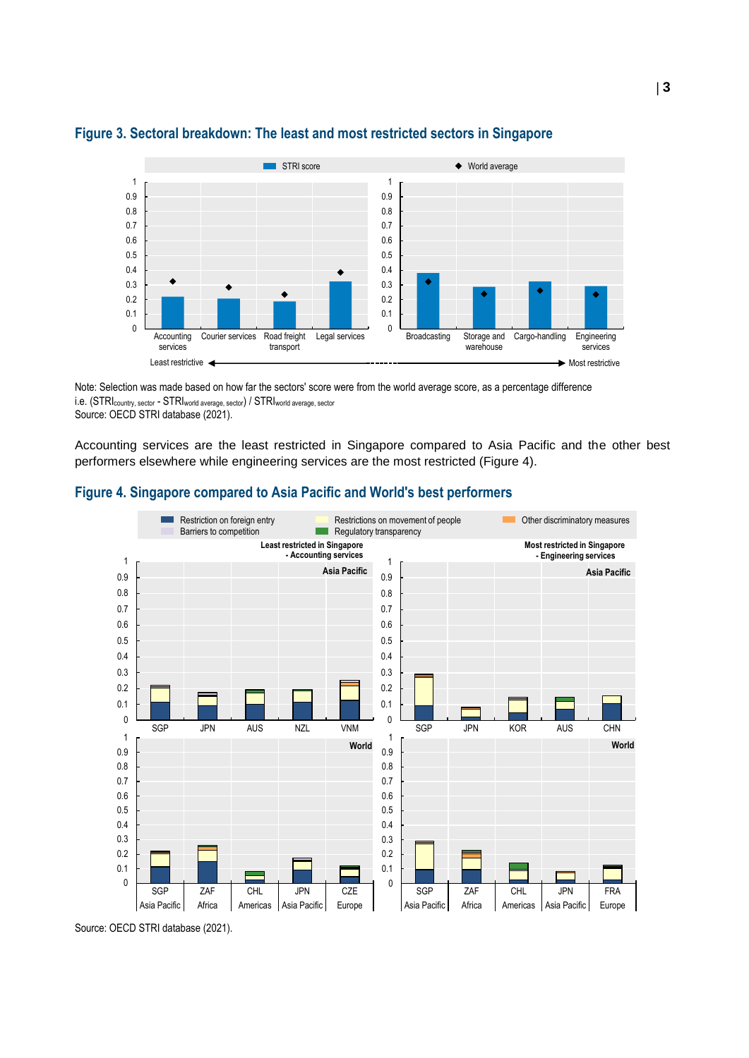

### **Figure 3. Sectoral breakdown: The least and most restricted sectors in Singapore**

Note: Selection was made based on how far the sectors' score were from the world average score, as a percentage difference i.e. (STRIcountry, sector - STRIworld average, sector) / STRIworld average, sector Source: OECD STRI database (2021).

Accounting services are the least restricted in Singapore compared to Asia Pacific and the other best performers elsewhere while engineering services are the most restricted (Figure 4).

## **Figure 4. Singapore compared to Asia Pacific and World's best performers**



Source: OECD STRI database (2021).